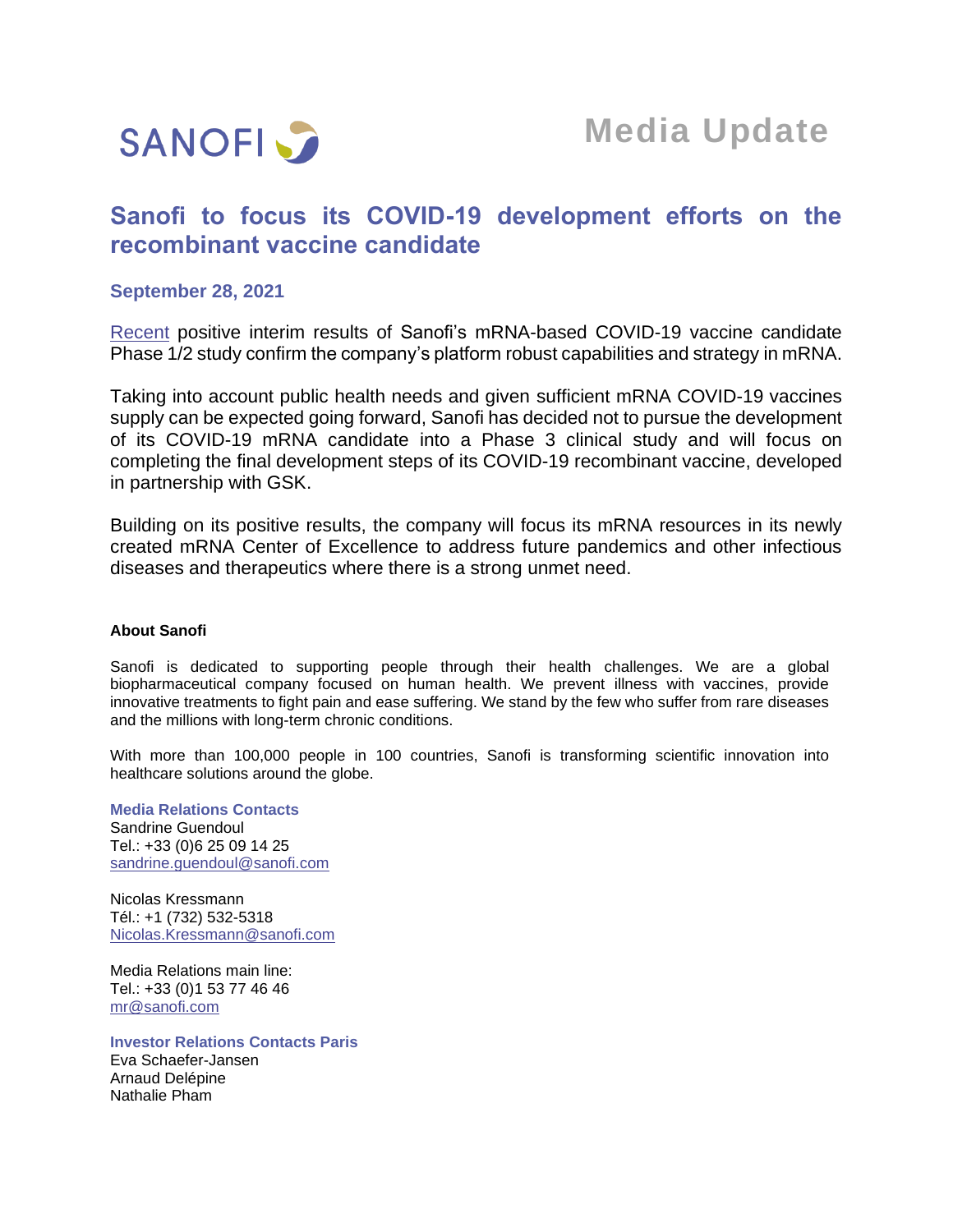

# **Sanofi to focus its COVID-19 development efforts on the recombinant vaccine candidate**

### **September 28, 2021**

[Recent](https://www.sanofi.com/en/media-room/press-releases/2021/2021-09-28-08-00-00-2304069) positive interim results of Sanofi's mRNA-based COVID-19 vaccine candidate Phase 1/2 study confirm the company's platform robust capabilities and strategy in mRNA.

Taking into account public health needs and given sufficient mRNA COVID-19 vaccines supply can be expected going forward, Sanofi has decided not to pursue the development of its COVID-19 mRNA candidate into a Phase 3 clinical study and will focus on completing the final development steps of its COVID-19 recombinant vaccine, developed in partnership with GSK.

Building on its positive results, the company will focus its mRNA resources in its newly created mRNA Center of Excellence to address future pandemics and other infectious diseases and therapeutics where there is a strong unmet need.

#### **About Sanofi**

Sanofi is dedicated to supporting people through their health challenges. We are a global biopharmaceutical company focused on human health. We prevent illness with vaccines, provide innovative treatments to fight pain and ease suffering. We stand by the few who suffer from rare diseases and the millions with long-term chronic conditions.

With more than 100,000 people in 100 countries, Sanofi is transforming scientific innovation into healthcare solutions around the globe.

**Media Relations Contacts** Sandrine Guendoul Tel.: +33 (0)6 25 09 14 25 [sandrine.guendoul@sanofi.com](mailto:sandrine.guendoul@sanofi.com)

Nicolas Kressmann Tél.: +1 (732) 532-5318 [Nicolas.Kressmann@sanofi.com](mailto:Nicolas.Kressmann@sanofi.com)

Media Relations main line: Tel.: +33 (0)1 53 77 46 46 [mr@sanofi.com](mailto:mr@sanofi.com)

**Investor Relations Contacts Paris** Eva Schaefer-Jansen Arnaud Delépine Nathalie Pham